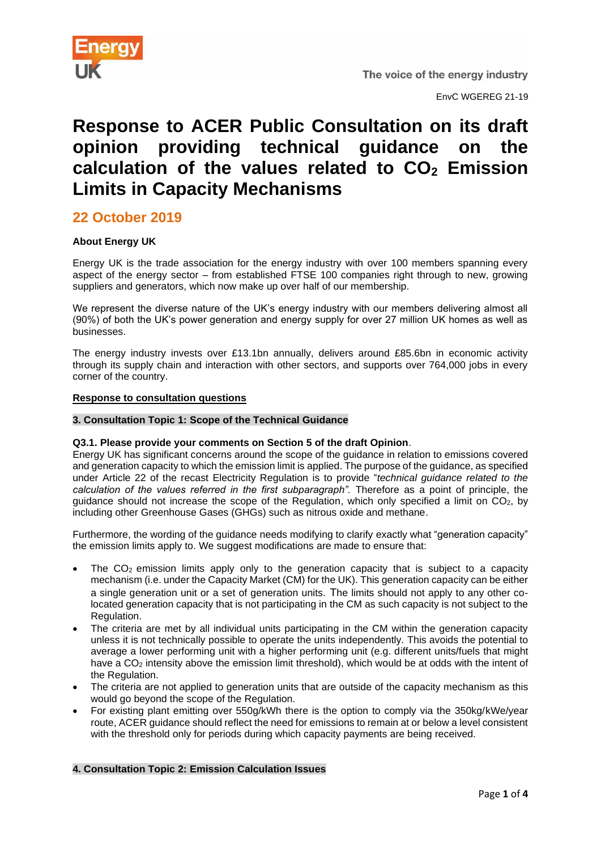

EnvC WGEREG 21-19

# **Response to ACER Public Consultation on its draft opinion providing technical guidance on the calculation of the values related to CO<sup>2</sup> Emission Limits in Capacity Mechanisms**

## **22 October 2019**

### **About Energy UK**

Energy UK is the trade association for the energy industry with over 100 members spanning every aspect of the energy sector – from established FTSE 100 companies right through to new, growing suppliers and generators, which now make up over half of our membership.

We represent the diverse nature of the UK's energy industry with our members delivering almost all (90%) of both the UK's power generation and energy supply for over 27 million UK homes as well as businesses.

The energy industry invests over £13.1bn annually, delivers around £85.6bn in economic activity through its supply chain and interaction with other sectors, and supports over 764,000 jobs in every corner of the country.

#### **Response to consultation questions**

#### **3. Consultation Topic 1: Scope of the Technical Guidance**

#### **Q3.1. Please provide your comments on Section 5 of the draft Opinion**.

Energy UK has significant concerns around the scope of the guidance in relation to emissions covered and generation capacity to which the emission limit is applied. The purpose of the guidance, as specified under Article 22 of the recast Electricity Regulation is to provide "*technical guidance related to the calculation of the values referred in the first subparagraph".* Therefore as a point of principle, the guidance should not increase the scope of the Regulation, which only specified a limit on CO2, by including other Greenhouse Gases (GHGs) such as nitrous oxide and methane.

Furthermore, the wording of the guidance needs modifying to clarify exactly what "generation capacity" the emission limits apply to. We suggest modifications are made to ensure that:

- The  $CO<sub>2</sub>$  emission limits apply only to the generation capacity that is subject to a capacity mechanism (i.e. under the Capacity Market (CM) for the UK). This generation capacity can be either a single generation unit or a set of generation units. The limits should not apply to any other colocated generation capacity that is not participating in the CM as such capacity is not subject to the Regulation.
- The criteria are met by all individual units participating in the CM within the generation capacity unless it is not technically possible to operate the units independently. This avoids the potential to average a lower performing unit with a higher performing unit (e.g. different units/fuels that might have a CO<sub>2</sub> intensity above the emission limit threshold), which would be at odds with the intent of the Regulation.
- The criteria are not applied to generation units that are outside of the capacity mechanism as this would go beyond the scope of the Regulation.
- For existing plant emitting over 550g/kWh there is the option to comply via the 350kg/kWe/year route, ACER guidance should reflect the need for emissions to remain at or below a level consistent with the threshold only for periods during which capacity payments are being received.

### **4. Consultation Topic 2: Emission Calculation Issues**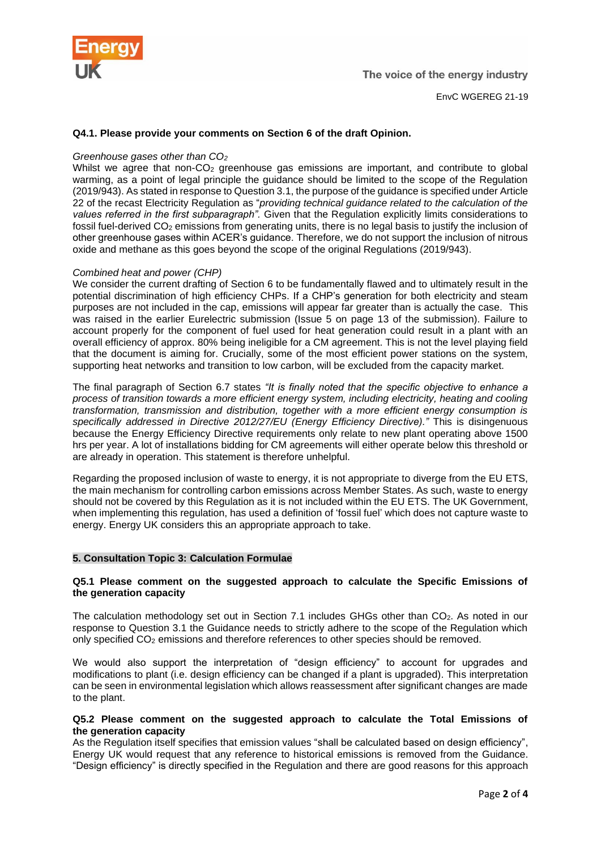

#### **Q4.1. Please provide your comments on Section 6 of the draft Opinion.**

#### *Greenhouse gases other than CO<sup>2</sup>*

Whilst we agree that non- $CO<sub>2</sub>$  greenhouse gas emissions are important, and contribute to global warming, as a point of legal principle the guidance should be limited to the scope of the Regulation (2019/943). As stated in response to Question 3.1, the purpose of the guidance is specified under Article 22 of the recast Electricity Regulation as "*providing technical guidance related to the calculation of the values referred in the first subparagraph".* Given that the Regulation explicitly limits considerations to fossil fuel-derived CO<sup>2</sup> emissions from generating units, there is no legal basis to justify the inclusion of other greenhouse gases within ACER's guidance. Therefore, we do not support the inclusion of nitrous oxide and methane as this goes beyond the scope of the original Regulations (2019/943).

#### *Combined heat and power (CHP)*

We consider the current drafting of Section 6 to be fundamentally flawed and to ultimately result in the potential discrimination of high efficiency CHPs. If a CHP's generation for both electricity and steam purposes are not included in the cap, emissions will appear far greater than is actually the case. This was raised in the earlier Eurelectric submission (Issue 5 on page 13 of the submission). Failure to account properly for the component of fuel used for heat generation could result in a plant with an overall efficiency of approx. 80% being ineligible for a CM agreement. This is not the level playing field that the document is aiming for. Crucially, some of the most efficient power stations on the system, supporting heat networks and transition to low carbon, will be excluded from the capacity market.

The final paragraph of Section 6.7 states *"It is finally noted that the specific objective to enhance a process of transition towards a more efficient energy system, including electricity, heating and cooling transformation, transmission and distribution, together with a more efficient energy consumption is specifically addressed in Directive 2012/27/EU (Energy Efficiency Directive)."* This is disingenuous because the Energy Efficiency Directive requirements only relate to new plant operating above 1500 hrs per year. A lot of installations bidding for CM agreements will either operate below this threshold or are already in operation. This statement is therefore unhelpful.

Regarding the proposed inclusion of waste to energy, it is not appropriate to diverge from the EU ETS, the main mechanism for controlling carbon emissions across Member States. As such, waste to energy should not be covered by this Regulation as it is not included within the EU ETS. The UK Government, when implementing this regulation, has used a definition of 'fossil fuel' which does not capture waste to energy. Energy UK considers this an appropriate approach to take.

#### **5. Consultation Topic 3: Calculation Formulae**

#### **Q5.1 Please comment on the suggested approach to calculate the Specific Emissions of the generation capacity**

The calculation methodology set out in Section 7.1 includes GHGs other than CO2. As noted in our response to Question 3.1 the Guidance needs to strictly adhere to the scope of the Regulation which only specified CO<sup>2</sup> emissions and therefore references to other species should be removed.

We would also support the interpretation of "design efficiency" to account for upgrades and modifications to plant (i.e. design efficiency can be changed if a plant is upgraded). This interpretation can be seen in environmental legislation which allows reassessment after significant changes are made to the plant.

#### **Q5.2 Please comment on the suggested approach to calculate the Total Emissions of the generation capacity**

As the Regulation itself specifies that emission values "shall be calculated based on design efficiency", Energy UK would request that any reference to historical emissions is removed from the Guidance. "Design efficiency" is directly specified in the Regulation and there are good reasons for this approach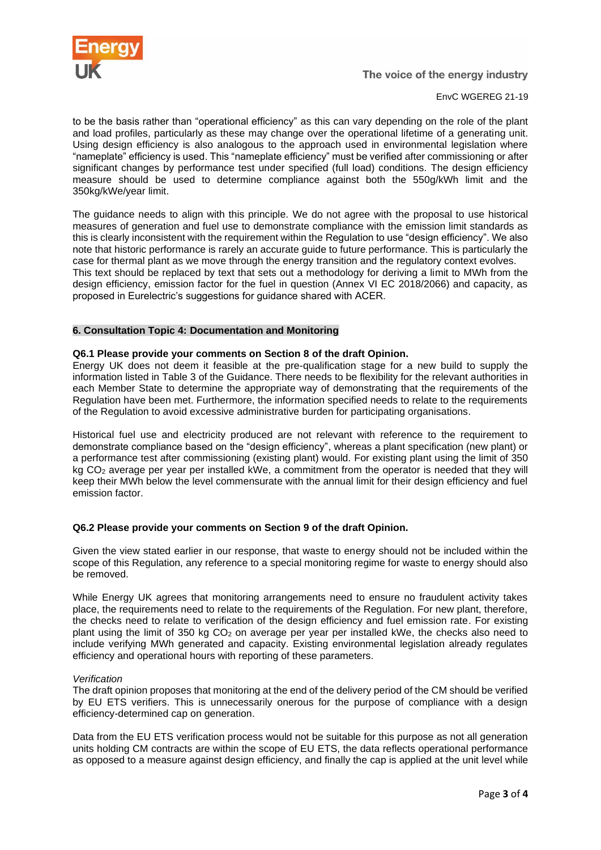

The voice of the energy industry

#### EnvC WGEREG 21-19

to be the basis rather than "operational efficiency" as this can vary depending on the role of the plant and load profiles, particularly as these may change over the operational lifetime of a generating unit. Using design efficiency is also analogous to the approach used in environmental legislation where "nameplate" efficiency is used. This "nameplate efficiency" must be verified after commissioning or after significant changes by performance test under specified (full load) conditions. The design efficiency measure should be used to determine compliance against both the 550g/kWh limit and the 350kg/kWe/year limit.

The guidance needs to align with this principle. We do not agree with the proposal to use historical measures of generation and fuel use to demonstrate compliance with the emission limit standards as this is clearly inconsistent with the requirement within the Regulation to use "design efficiency". We also note that historic performance is rarely an accurate guide to future performance. This is particularly the case for thermal plant as we move through the energy transition and the regulatory context evolves. This text should be replaced by text that sets out a methodology for deriving a limit to MWh from the design efficiency, emission factor for the fuel in question (Annex VI EC 2018/2066) and capacity, as proposed in Eurelectric's suggestions for guidance shared with ACER.

#### **6. Consultation Topic 4: Documentation and Monitoring**

#### **Q6.1 Please provide your comments on Section 8 of the draft Opinion.**

Energy UK does not deem it feasible at the pre-qualification stage for a new build to supply the information listed in Table 3 of the Guidance. There needs to be flexibility for the relevant authorities in each Member State to determine the appropriate way of demonstrating that the requirements of the Regulation have been met. Furthermore, the information specified needs to relate to the requirements of the Regulation to avoid excessive administrative burden for participating organisations.

Historical fuel use and electricity produced are not relevant with reference to the requirement to demonstrate compliance based on the "design efficiency", whereas a plant specification (new plant) or a performance test after commissioning (existing plant) would. For existing plant using the limit of 350 kg CO<sub>2</sub> average per year per installed kWe, a commitment from the operator is needed that they will keep their MWh below the level commensurate with the annual limit for their design efficiency and fuel emission factor.

#### **Q6.2 Please provide your comments on Section 9 of the draft Opinion.**

Given the view stated earlier in our response, that waste to energy should not be included within the scope of this Regulation, any reference to a special monitoring regime for waste to energy should also be removed.

While Energy UK agrees that monitoring arrangements need to ensure no fraudulent activity takes place, the requirements need to relate to the requirements of the Regulation. For new plant, therefore, the checks need to relate to verification of the design efficiency and fuel emission rate. For existing plant using the limit of 350 kg CO<sup>2</sup> on average per year per installed kWe, the checks also need to include verifying MWh generated and capacity. Existing environmental legislation already regulates efficiency and operational hours with reporting of these parameters.

#### *Verification*

The draft opinion proposes that monitoring at the end of the delivery period of the CM should be verified by EU ETS verifiers. This is unnecessarily onerous for the purpose of compliance with a design efficiency-determined cap on generation.

Data from the EU ETS verification process would not be suitable for this purpose as not all generation units holding CM contracts are within the scope of EU ETS, the data reflects operational performance as opposed to a measure against design efficiency, and finally the cap is applied at the unit level while